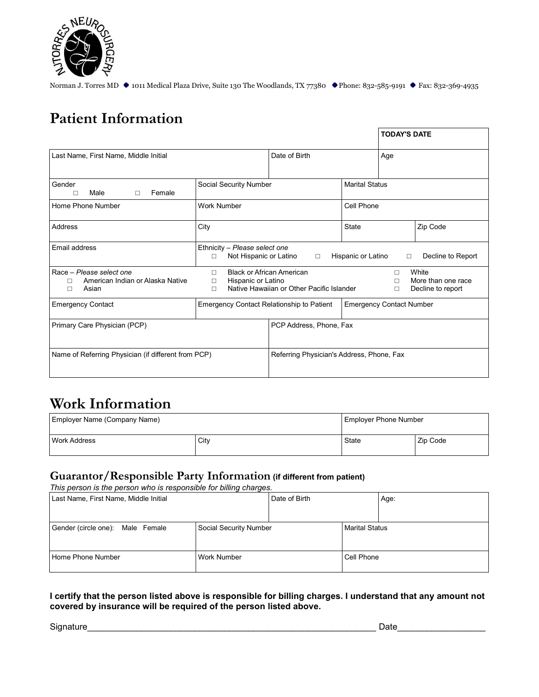

# **Patient Information**

|                                                                                 |                                                                                 |                                           | <b>TODAY'S DATE</b>             |                                                  |
|---------------------------------------------------------------------------------|---------------------------------------------------------------------------------|-------------------------------------------|---------------------------------|--------------------------------------------------|
| Last Name, First Name, Middle Initial                                           |                                                                                 | Date of Birth                             | Age                             |                                                  |
| Gender<br>Male<br>Female<br>$\Box$<br>П                                         | Social Security Number                                                          |                                           | <b>Marital Status</b>           |                                                  |
| Home Phone Number                                                               | <b>Work Number</b>                                                              |                                           | Cell Phone                      |                                                  |
| Address                                                                         | City                                                                            |                                           | State                           | Zip Code                                         |
| Email address                                                                   | Ethnicity - Please select one<br>Not Hispanic or Latino<br>п                    | $\Box$                                    | Hispanic or Latino<br>$\Box$    | Decline to Report                                |
| Race - Please select one<br>American Indian or Alaska Native<br>П<br>Asian<br>п | <b>Black or African American</b><br>п<br>Hispanic or Latino<br>$\Box$<br>$\Box$ | Native Hawaiian or Other Pacific Islander | п<br>$\Box$<br>□                | White<br>More than one race<br>Decline to report |
| <b>Emergency Contact</b>                                                        | Emergency Contact Relationship to Patient                                       |                                           | <b>Emergency Contact Number</b> |                                                  |
| Primary Care Physician (PCP)                                                    |                                                                                 | PCP Address, Phone, Fax                   |                                 |                                                  |
| Name of Referring Physician (if different from PCP)                             |                                                                                 | Referring Physician's Address, Phone, Fax |                                 |                                                  |

## **Work Information**

| Employer Name (Company Name) |      | <b>Employer Phone Number</b> |          |
|------------------------------|------|------------------------------|----------|
| Work Address                 | City | State                        | Zip Code |

### **Guarantor/Responsible Party Information (if different from patient)**

*This person is the person who is responsible for billing charges.*

| Last Name, First Name, Middle Initial |                        | Date of Birth |                       | Age: |
|---------------------------------------|------------------------|---------------|-----------------------|------|
| Gender (circle one): Male Female      | Social Security Number |               | <b>Marital Status</b> |      |
| Home Phone Number                     | Work Number            |               | Cell Phone            |      |

#### **I certify that the person listed above is responsible for billing charges. I understand that any amount not covered by insurance will be required of the person listed above.**

Signature\_\_\_\_\_\_\_\_\_\_\_\_\_\_\_\_\_\_\_\_\_\_\_\_\_\_\_\_\_\_\_\_\_\_\_\_\_\_\_\_\_\_\_\_\_\_\_\_\_\_\_\_\_\_\_\_\_\_\_ Date\_\_\_\_\_\_\_\_\_\_\_\_\_\_\_\_\_\_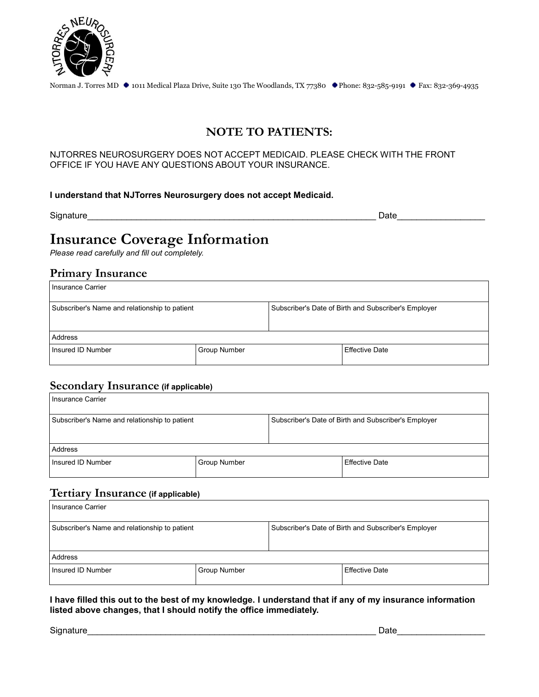

## **NOTE TO PATIENTS:**

#### NJTORRES NEUROSURGERY DOES NOT ACCEPT MEDICAID. PLEASE CHECK WITH THE FRONT OFFICE IF YOU HAVE ANY QUESTIONS ABOUT YOUR INSURANCE.

#### **I understand that NJTorres Neurosurgery does not accept Medicaid.**

Signature\_\_\_\_\_\_\_\_\_\_\_\_\_\_\_\_\_\_\_\_\_\_\_\_\_\_\_\_\_\_\_\_\_\_\_\_\_\_\_\_\_\_\_\_\_\_\_\_\_\_\_\_\_\_\_\_\_\_\_ Date\_\_\_\_\_\_\_\_\_\_\_\_\_\_\_\_\_\_

# **Insurance Coverage Information**

*Please read carefully and fill out completely.* 

#### **Primary Insurance**

| Insurance Carrier                             |              |                                                      |                       |  |  |
|-----------------------------------------------|--------------|------------------------------------------------------|-----------------------|--|--|
| Subscriber's Name and relationship to patient |              | Subscriber's Date of Birth and Subscriber's Employer |                       |  |  |
|                                               |              |                                                      |                       |  |  |
| Address                                       |              |                                                      |                       |  |  |
| Insured ID Number                             | Group Number |                                                      | <b>Effective Date</b> |  |  |

#### **Secondary Insurance (if applicable)**

| Insurance Carrier                                                                                     |                     |  |                       |  |  |
|-------------------------------------------------------------------------------------------------------|---------------------|--|-----------------------|--|--|
| Subscriber's Name and relationship to patient<br>Subscriber's Date of Birth and Subscriber's Employer |                     |  |                       |  |  |
| Address                                                                                               |                     |  |                       |  |  |
| Insured ID Number                                                                                     | <b>Group Number</b> |  | <b>Effective Date</b> |  |  |

## **Tertiary Insurance (if applicable)**

| Insurance Carrier                                                                                     |              |  |                       |  |  |
|-------------------------------------------------------------------------------------------------------|--------------|--|-----------------------|--|--|
| Subscriber's Name and relationship to patient<br>Subscriber's Date of Birth and Subscriber's Employer |              |  |                       |  |  |
|                                                                                                       |              |  |                       |  |  |
| Address                                                                                               |              |  |                       |  |  |
| Insured ID Number                                                                                     | Group Number |  | <b>Effective Date</b> |  |  |

#### **I have filled this out to the best of my knowledge. I understand that if any of my insurance information listed above changes, that I should notify the office immediately.**

Signature\_\_\_\_\_\_\_\_\_\_\_\_\_\_\_\_\_\_\_\_\_\_\_\_\_\_\_\_\_\_\_\_\_\_\_\_\_\_\_\_\_\_\_\_\_\_\_\_\_\_\_\_\_\_\_\_\_\_\_ Date\_\_\_\_\_\_\_\_\_\_\_\_\_\_\_\_\_\_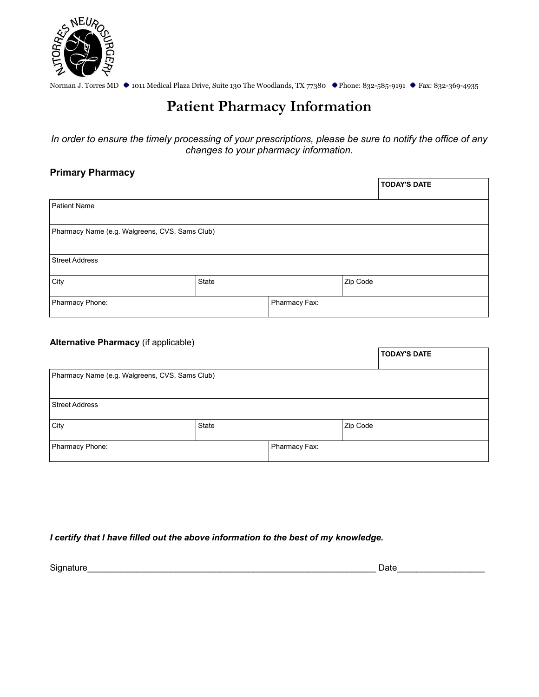

# **Patient Pharmacy Information**

*In order to ensure the timely processing of your prescriptions, please be sure to notify the office of any changes to your pharmacy information.*

#### **Primary Pharmacy**

|                                                |       |               |          | <b>TODAY'S DATE</b> |  |  |
|------------------------------------------------|-------|---------------|----------|---------------------|--|--|
| <b>Patient Name</b>                            |       |               |          |                     |  |  |
| Pharmacy Name (e.g. Walgreens, CVS, Sams Club) |       |               |          |                     |  |  |
| <b>Street Address</b>                          |       |               |          |                     |  |  |
| City                                           | State |               | Zip Code |                     |  |  |
| Pharmacy Phone:                                |       | Pharmacy Fax: |          |                     |  |  |

#### **Alternative Pharmacy** (if applicable)

|                                                |       |               |          | <b>TODAY'S DATE</b> |  |  |
|------------------------------------------------|-------|---------------|----------|---------------------|--|--|
| Pharmacy Name (e.g. Walgreens, CVS, Sams Club) |       |               |          |                     |  |  |
|                                                |       |               |          |                     |  |  |
| <b>Street Address</b>                          |       |               |          |                     |  |  |
| City                                           | State |               | Zip Code |                     |  |  |
| Pharmacy Phone:                                |       | Pharmacy Fax: |          |                     |  |  |

#### *I certify that I have filled out the above information to the best of my knowledge.*

Signature\_\_\_\_\_\_\_\_\_\_\_\_\_\_\_\_\_\_\_\_\_\_\_\_\_\_\_\_\_\_\_\_\_\_\_\_\_\_\_\_\_\_\_\_\_\_\_\_\_\_\_\_\_\_\_\_\_\_\_ Date\_\_\_\_\_\_\_\_\_\_\_\_\_\_\_\_\_\_